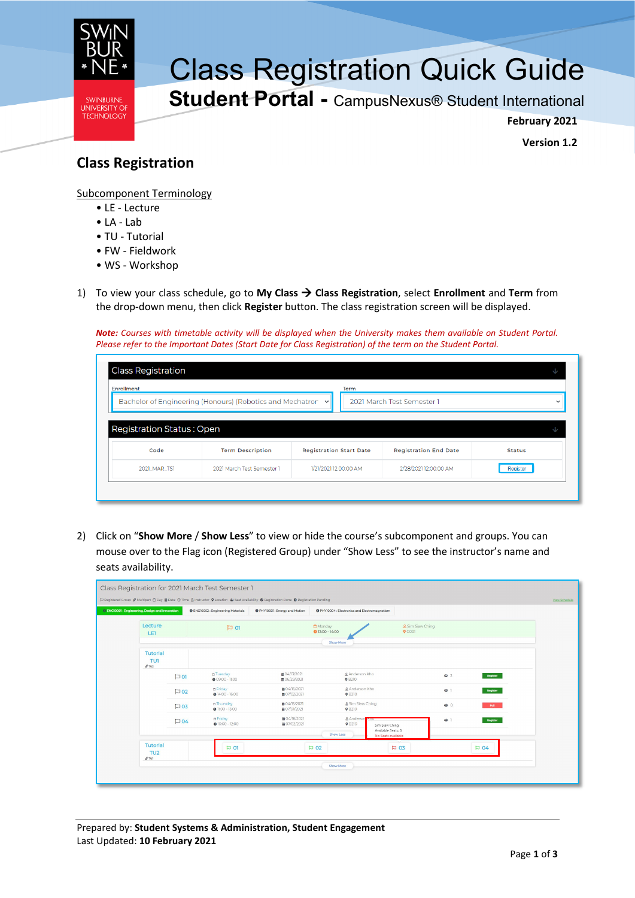

## Class Registration Quick Guide

**Student Portal -** CampusNexus® Student International

**February 2021**

**Version 1.2**

## **Class Registration**

Subcomponent Terminology

- LE Lecture
- LA Lab
- TU Tutorial
- FW Fieldwork
- WS Workshop
- 1) To view your class schedule, go to **My Class Class Registration**, select **Enrollment** and **Term** from the drop-down menu, then click **Register** button. The class registration screen will be displayed.

*Note: Courses with timetable activity will be displayed when the University makes them available on Student Portal. Please refer to the Important Dates (Start Date for Class Registration) of the term on the Student Portal.*

| Enrollment |                                                             | Term                           |                              |               |
|------------|-------------------------------------------------------------|--------------------------------|------------------------------|---------------|
|            | Bachelor of Engineering (Honours) (Robotics and Mechatron v |                                | 2021 March Test Semester 1   |               |
|            |                                                             |                                |                              |               |
| Code       | <b>Term Description</b>                                     | <b>Registration Start Date</b> | <b>Registration End Date</b> | <b>Status</b> |

2) Click on "**Show More** / **Show Less**" to view or hide the course's subcomponent and groups. You can mouse over to the Flag icon (Registered Group) under "Show Less" to see the instructor's name and seats availability.

| <b>O ENG10001: Engineering, Design and Innovation</b> |                  | <b>O</b> ENG10002: Engineering Materials | PHY10001: Energy and Motion               | <b>O</b> PHY10004 : Electronics and Electromagnetism |                                                            |                              |                 |
|-------------------------------------------------------|------------------|------------------------------------------|-------------------------------------------|------------------------------------------------------|------------------------------------------------------------|------------------------------|-----------------|
| Lecture<br>LET                                        |                  | D <sub>01</sub>                          |                                           | Monday<br>$013:00 - 14:00$                           |                                                            | & Sim Siaw Ching<br>$Q$ GOO1 |                 |
|                                                       |                  |                                          |                                           | Show More                                            |                                                            |                              |                 |
| Tutorial<br><b>TU1</b><br>$Q$ TU <sub>2</sub>         |                  |                                          |                                           |                                                      |                                                            |                              |                 |
|                                                       | $\Box$ 01        | n Tuesday<br>$0.09:00 - 11:00$           | <b>前04/13/2021</b><br><b>前 06/29/2021</b> | <b>A</b> Anderson Kho<br><b>9 B210</b>               |                                                            | 春2                           | Register        |
|                                                       | $\overline{D}02$ | n Friday<br>$014:00 - 16:00$             | ■ 04/16/2021<br>■ 07/02/2021              | & Anderson Kho<br><b>9 B210</b>                      |                                                            | 48.1                         | Register        |
|                                                       | $\overline{D}03$ | n Thursday<br>$\bullet$ 11:00 - 13:00    | 单04/15/2021<br>曲 07/01/2021               | & Sim Siaw Ching<br><b>9 B210</b>                    |                                                            | 學 0                          | <b>Full</b>     |
|                                                       | D04              | n Friday<br>$0$ 10:00 - 12:00            | ■ 04/16/2021<br>■ 07/02/2021              | & Anderson<br><b>9 B210</b><br>Show Less             | Sim Siaw Ching<br>Available Seats: 0<br>No Seats available | 48.1                         | Register        |
| <b>Tutorial</b><br>TU <sub>2</sub><br>O(TU)           |                  | $\Box$ 01                                |                                           | $\mathsf{P}$ 02                                      | $\overline{P}$ 03                                          |                              | $\mathbb{D}$ 04 |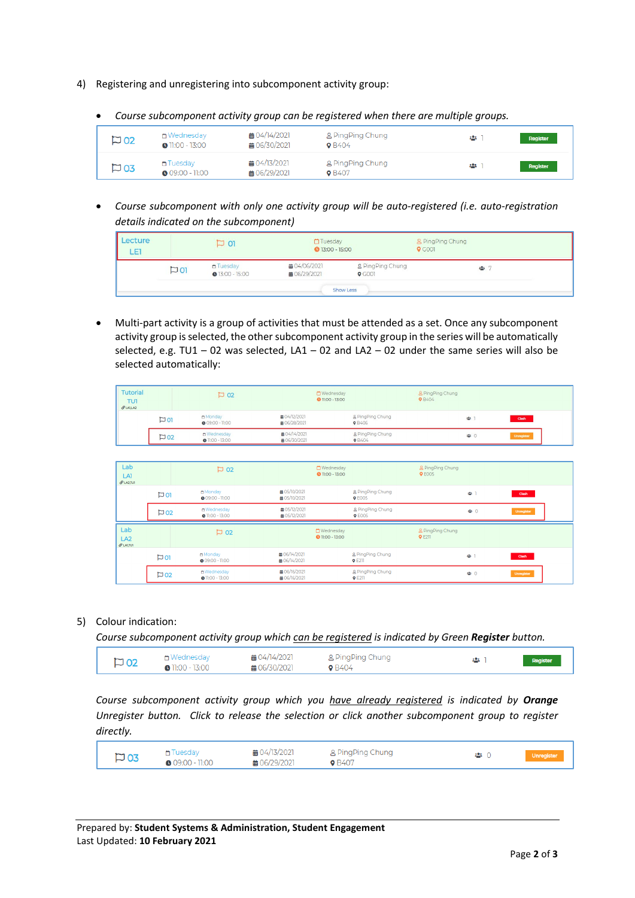- 4) Registering and unregistering into subcomponent activity group:
	- *Course subcomponent activity group can be registered when there are multiple groups.*

| $\square$ 02 | int Wednesday<br>$\bullet$ 11:00 - 13:00 | ■ 04/14/2021<br>■ 06/30/2021 | g PingPing Chung<br><b>9</b> B404        | age i | Register |
|--------------|------------------------------------------|------------------------------|------------------------------------------|-------|----------|
| $\square$ 03 | ↑ Tuesday<br>$\bullet$ 09:00 - 11:00     | ■ 04/13/2021<br>■ 06/29/2021 | <b>A</b> PingPing Chung<br><b>0</b> B407 | 895 T | Register |

• *Course subcomponent with only one activity group will be auto-registered (i.e. auto-registration details indicated on the subcomponent)*

| Lecture<br>LET. |                 | 701                                  | Tuesday<br><b>0</b> 13:00 - 15:00 |                              | & PingPing Chung<br>$Q$ GOOT |  |
|-----------------|-----------------|--------------------------------------|-----------------------------------|------------------------------|------------------------------|--|
|                 | D <sub>01</sub> | n Tuesday<br>$\bullet$ 13:00 - 15:00 | ■ 04/06/2021<br>■ 06/29/2021      | & PingPing Chung<br>$Q$ GOOT |                              |  |
|                 |                 |                                      |                                   | <b>Show Less</b>             |                              |  |

• Multi-part activity is a group of activities that must be attended as a set. Once any subcomponent activity group is selected, the other subcomponent activity group in the series will be automatically selected, e.g. TU1 – 02 was selected, LA1 – 02 and LA2 – 02 under the same series will also be selected automatically:

| Tutorial<br><b>TU1</b><br>$Q$ LAILAZ | $\square$ 02    |                                        |                                    | & PingPing Chung<br>Wednesday<br><b>0</b> 11:00 - 13:00<br><b>9</b> B404 |     |            |
|--------------------------------------|-----------------|----------------------------------------|------------------------------------|--------------------------------------------------------------------------|-----|------------|
|                                      | D <sub>01</sub> | m Monday<br>$0.09:00 - 11:00$          | 曲 04/12/2021<br><b>前06/28/2021</b> | g PingPing Chung<br><b>0</b> B406                                        | 忠   | Clash      |
|                                      | $\Box$ 02       | n Wednesday<br>$\bullet$ 11:00 - 13:00 | <b>前04/14/2021</b><br>前06/30/2021  | g PingPing Chung<br><b>9</b> B404                                        | ● 0 | Unregister |

| Lab<br>LAT<br>$Q$ LA2.TUT |                  | $\overline{D}$ 02                      |                                            | <b>□</b> Wednesday<br><b>0</b> 11:00 - 13:00 | & PingPing Chung<br><b>Q</b> E005 |     |            |
|---------------------------|------------------|----------------------------------------|--------------------------------------------|----------------------------------------------|-----------------------------------|-----|------------|
|                           | $\Box$ 01        | m Monday<br>$\bullet$ 09:00 - 11:00    | <b>前 05/10/2021</b><br>曲 05/10/2021        | & PingPing Chung<br><b>9 E005</b>            |                                   | 學工  | Clash      |
|                           | $\overline{D}02$ | ∩ Wednesday<br>$\bullet$ 11:00 - 13:00 | <b>前 05/12/2021</b><br><b>前 05/12/2021</b> | g PingPing Chung<br><b>9 E005</b>            |                                   | 學 0 | Unregister |
|                           |                  |                                        |                                            |                                              |                                   |     |            |
| Lab<br>LA2<br>$Q$ LAITUI  |                  | $\overline{D}$ 02                      |                                            | <b>□</b> Wednesday<br><b>0</b> 11:00 - 13:00 | & PingPing Chung<br>$Q$ E211      |     |            |
|                           | D <sub>01</sub>  | m Monday<br>$\bullet$ 09:00 - 11:00    | <b>前 06/14/2021</b><br>■ 06/14/2021        | & PingPing Chung<br><b>9 E211</b>            |                                   | 學工  | Clash      |

## 5) Colour indication:

*Course subcomponent activity group which can be registered is indicated by Green Register button.*

| $\overline{D}02$ | ่ i Wednesday           | 萹 04/14/2021 | 吕 PingPing Chung | 29.E | Register |
|------------------|-------------------------|--------------|------------------|------|----------|
|                  | $\bullet$ 11:00 - 13:00 | ■ 06/30/2021 | <b>0</b> B404    |      |          |

*Course subcomponent activity group which you have already registered is indicated by Orange Unregister button. Click to release the selection or click another subcomponent group to register directly.*

| $\square$ 03 | <del>n</del> Tuesday<br>$\bullet$ 09:00 - 11:00 | ■ 04/13/2021<br>■ 06/29/2021 | <b>&amp; PingPing Chung</b><br><b>9</b> B407 |  | Unregister |
|--------------|-------------------------------------------------|------------------------------|----------------------------------------------|--|------------|
|--------------|-------------------------------------------------|------------------------------|----------------------------------------------|--|------------|